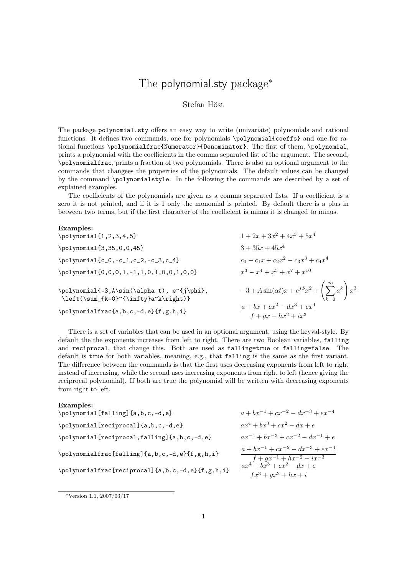# The polynomial.sty package<sup>\*</sup>

## Stefan Höst

The package polynomial.sty offers an easy way to write (univariate) polynomials and rational functions. It defines two commands, one for polynomials \polynomial{coeffs} and one for rational functions \polynomialfrac{Numerator}{Denominator}. The first of them, \polynomial, prints a polynomial with the coefficients in the comma separated list of the argument. The second, \polynomialfrac, prints a fraction of two polynomials. There is also an optional argument to the commands that changees the properties of the polynomials. The default values can be changed by the command \polynomialstyle. In the following the commands are described by a set of explained examples.

The coefficients of the polynomials are given as a comma separated lists. If a coefficient is a zero it is not printed, and if it is 1 only the monomial is printed. By default there is a plus in between two terms, but if the first character of the coefficient is minus it is changed to minus.

#### Examples:

| $\text{polynomial}\{1,2,3,4,5\}$                                                   | $1+2x+3x^2+4x^3+5x^4$                                                                                             |
|------------------------------------------------------------------------------------|-------------------------------------------------------------------------------------------------------------------|
| $\text{polynomial}\{3,35,0,0,45\}$                                                 | $3+35x+45x^4$                                                                                                     |
| $\pmb{\text{polynomial}\{c_0, -c_1, c_2, -c_3, c_4\}}$                             | $c_0 - c_1 x + c_2 x^2 - c_3 x^3 + c_4 x^4$                                                                       |
| \polynomial{0,0,0,1,-1,1,0,1,0,0,1,0,0}                                            | $x^3 - x^4 + x^5 + x^7 + x^{10}$                                                                                  |
| \polynomial{-3,A\sin(\alpha t), e^{j\phi},<br>\left(\sum_{k=0}^{\infty}a^k\right)} | $-3 + A\sin(\alpha t)x + e^{j\phi}x^2 + \left(\sum_{k=0}^{\infty} a^k\right)x^3$<br>$a + bx + cx^2 - dx^3 + ex^4$ |
| \polynomialfrac{a,b,c,-d,e}{f,g,h,i}                                               | $f+gx+hx^2+ix^3$                                                                                                  |

There is a set of variables that can be used in an optional argument, using the keyval-style. By default the the exponents increases from left to right. There are two Boolean variables, falling and reciprocal, that change this. Both are used as falling=true or falling=false. The default is true for both variables, meaning, e.g., that falling is the same as the first variant. The difference between the commands is that the first uses decreasing exponents from left to right instead of increasing, while the second uses increasing exponents from right to left (hence giving the reciprocal polynomial). If both are true the polynomial will be written with decreasing exponents from right to left.

#### Examples:

- $\text{Sylynomial}$  [falling]{a,b,c,-d,e} a + bx<sup>-1</sup> + cx<sup>-2</sup> dx<sup>-3</sup> + ex<sup>-4</sup>  $\text{polynomial}[\text{reciprocal}]\{a,b,c,-d,e\}$   $ax^4 + bx^3 + cx^2 - dx + e$  $\pi$ \polynomial[reciprocal,falling]{a,b,c,-d,e}  $ax^{-4} + bx^{-3} + cx^{-2} - dx^{-1} + e$  $\text{Ypolynomialfrac[falling]{a,b,c,-d,e}{f,g,h,i} \quad \quad \frac{a+bx^{-1}+cx^{-2}-dx^{-3}+ex^{-4}}{f+gx^{-1}+hx^{-2}+ix^{-3}}$ \polynomialfrac[reciprocal]{a,b,c,-d,e}{f,g,h,i}
	- $fx^3 + gx^2 + hx + i$

<sup>∗</sup>Version 1.1, 2007/03/17